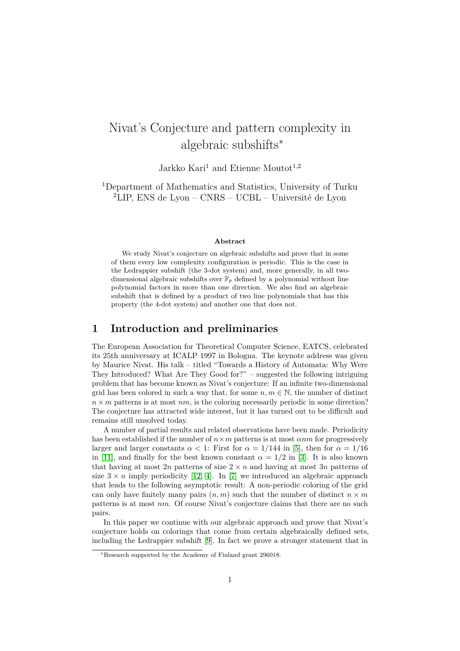# Nivat's Conjecture and pattern complexity in algebraic subshifts<sup>∗</sup>

Jarkko Kari<sup>1</sup> and Etienne Moutot<sup>1,2</sup>

<sup>1</sup>Department of Mathematics and Statistics, University of Turku <sup>2</sup>LIP, ENS de Lyon – CNRS – UCBL – Université de Lyon

#### **Abstract**

We study Nivat's conjecture on algebraic subshifts and prove that in some of them every low complexity configuration is periodic. This is the case in the Ledrappier subshift (the 3-dot system) and, more generally, in all twodimensional algebraic subshifts over  $\mathbb{F}_p$  defined by a polynomial without line polynomial factors in more than one direction. We also find an algebraic subshift that is defined by a product of two line polynomials that has this property (the 4-dot system) and another one that does not.

### **1 Introduction and preliminaries**

The European Association for Theoretical Computer Science, EATCS, celebrated its 25th anniversary at ICALP 1997 in Bologna. The keynote address was given by Maurice Nivat. His talk – titled "Towards a History of Automata: Why Were They Introduced? What Are They Good for?" – suggested the following intriguing problem that has become known as Nivat's conjecture: If an infinite two-dimensional grid has been colored in such a way that, for some  $n, m \in \mathbb{N}$ , the number of distinct  $n \times m$  patterns is at most  $nm$ , is the coloring necessarily periodic in some direction? The conjecture has attracted wide interest, but it has turned out to be difficult and remains still unsolved today.

A number of partial results and related observations have been made. Periodicity has been established if the number of  $n \times m$  patterns is at most  $\alpha nm$  for progressively larger and larger constants  $\alpha < 1$ : First for  $\alpha = 1/144$  in [\[5\]](#page-10-0), then for  $\alpha = 1/16$ in [\[11\]](#page-10-1), and finally for the best known constant  $\alpha = 1/2$  in [\[3\]](#page-10-2). It is also known that having at most 2*n* patterns of size  $2 \times n$  and having at most 3*n* patterns of size  $3 \times n$  imply periodicity [\[12,](#page-10-3) [4\]](#page-10-4). In [\[7\]](#page-10-5) we introduced an algebraic approach that leads to the following asymptotic result: A non-periodic coloring of the grid can only have finitely many pairs  $(n, m)$  such that the number of distinct  $n \times m$ patterns is at most *nm*. Of course Nivat's conjecture claims that there are no such pairs.

In this paper we continue with our algebraic approach and prove that Nivat's conjecture holds on colorings that come from certain algebraically defined sets, including the Ledrappier subshift [\[9\]](#page-10-6). In fact we prove a stronger statement that in

<sup>∗</sup>Research supported by the Academy of Finland grant 296018.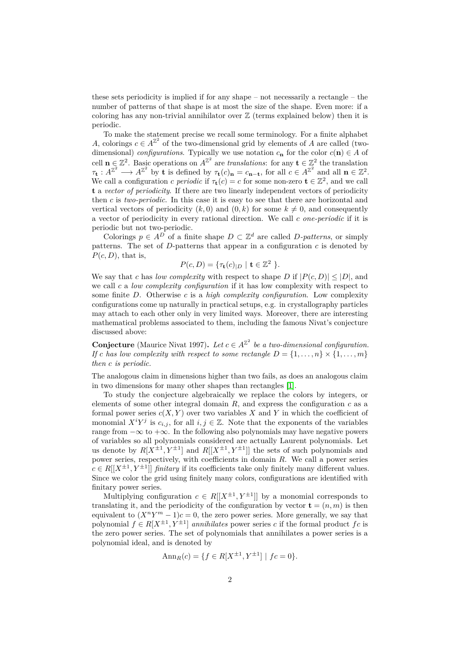these sets periodicity is implied if for any shape – not necessarily a rectangle – the number of patterns of that shape is at most the size of the shape. Even more: if a coloring has any non-trivial annihilator over  $\mathbb Z$  (terms explained below) then it is periodic.

To make the statement precise we recall some terminology. For a finite alphabet *A*, colorings  $c \in A^{\mathbb{Z}^2}$  of the two-dimensional grid by elements of *A* are called (twodimensional) *configurations*. Typically we use notation  $c_{\mathbf{n}}$  for the color  $c(\mathbf{n}) \in A$  of cell  $\mathbf{n} \in \mathbb{Z}^2$ . Basic operations on  $A^{\mathbb{Z}^2}$  are *translations*: for any  $\mathbf{t} \in \mathbb{Z}^2$  the translation  $\tau_{\mathbf{t}} : A^{\mathbb{Z}^2} \longrightarrow A^{\mathbb{Z}^2}$  by **t** is defined by  $\tau_{\mathbf{t}}(c)_{\mathbf{n}} = c_{\mathbf{n}-\mathbf{t}}$ , for all  $c \in A^{\mathbb{Z}^2}$  and all  $\mathbf{n} \in \mathbb{Z}^2$ . We call a configuration *c periodic* if  $\tau$ **t**(*c*) = *c* for some non-zero **t**  $\in \mathbb{Z}^2$ , and we call **t** a *vector of periodicity*. If there are two linearly independent vectors of periodicity then *c* is *two-periodic*. In this case it is easy to see that there are horizontal and vertical vectors of periodicity  $(k, 0)$  and  $(0, k)$  for some  $k \neq 0$ , and consequently a vector of periodicity in every rational direction. We call *c one-periodic* if it is periodic but not two-periodic.

Colorings  $p \in A^D$  of a finite shape  $D \subset \mathbb{Z}^d$  are called *D*-patterns, or simply patterns. The set of  $D$ -patterns that appear in a configuration  $c$  is denoted by  $P(c, D)$ , that is,

$$
P(c,D) = \{\tau_{\mathbf{t}}(c)_{|D} \mid \mathbf{t} \in \mathbb{Z}^2 \}.
$$

We say that *c* has *low complexity* with respect to shape *D* if  $|P(c, D)| \leq |D|$ , and we call *c* a *low complexity configuration* if it has low complexity with respect to some finite *D*. Otherwise *c* is a *high complexity configuration*. Low complexity configurations come up naturally in practical setups, e.g. in crystallography particles may attach to each other only in very limited ways. Moreover, there are interesting mathematical problems associated to them, including the famous Nivat's conjecture discussed above:

**Conjecture** (Maurice Nivat 1997). Let  $c \in A^{\mathbb{Z}^2}$  be a two-dimensional configuration. *If c* has low complexity with respect to some rectangle  $D = \{1, \ldots, n\} \times \{1, \ldots, m\}$ *then c is periodic.*

The analogous claim in dimensions higher than two fails, as does an analogous claim in two dimensions for many other shapes than rectangles [\[1\]](#page-10-7).

To study the conjecture algebraically we replace the colors by integers, or elements of some other integral domain  $R$ , and express the configuration  $c$  as a formal power series  $c(X, Y)$  over two variables X and Y in which the coefficient of monomial  $X^i Y^j$  is  $c_{i,j}$ , for all  $i, j \in \mathbb{Z}$ . Note that the exponents of the variables range from  $-\infty$  to  $+\infty$ . In the following also polynomials may have negative powers of variables so all polynomials considered are actually Laurent polynomials. Let us denote by  $R[X^{\pm 1}, Y^{\pm 1}]$  and  $R[[X^{\pm 1}, Y^{\pm 1}]]$  the sets of such polynomials and power series, respectively, with coefficients in domain *R*. We call a power series  $c \in R[[X^{\pm 1}, Y^{\pm 1}]]$  *finitary* if its coefficients take only finitely many different values. Since we color the grid using finitely many colors, configurations are identified with finitary power series.

Multiplying configuration  $c \in R[[X^{\pm 1}, Y^{\pm 1}]]$  by a monomial corresponds to translating it, and the periodicity of the configuration by vector  $\mathbf{t} = (n, m)$  is then equivalent to  $(X^nY^m - 1)c = 0$ , the zero power series. More generally, we say that polynomial  $f \in R[X^{\pm 1}, Y^{\pm 1}]$  *annihilates* power series *c* if the formal product  $fc$  is the zero power series. The set of polynomials that annihilates a power series is a polynomial ideal, and is denoted by

$$
Ann_R(c) = \{ f \in R[X^{\pm 1}, Y^{\pm 1}] \mid fc = 0 \}.
$$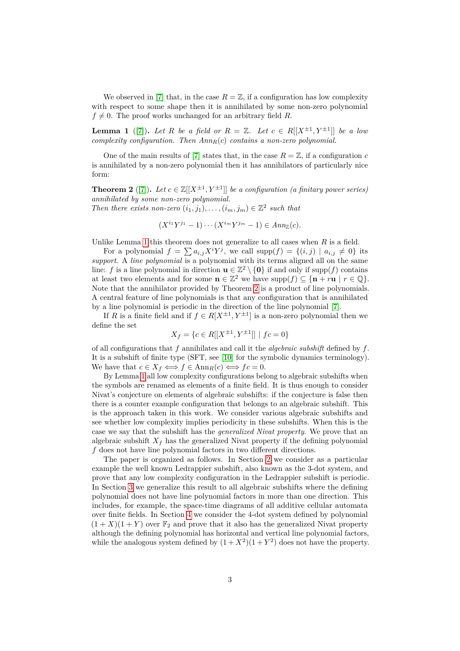We observed in [\[7\]](#page-10-5) that, in the case  $R = \mathbb{Z}$ , if a configuration has low complexity with respect to some shape then it is annihilated by some non-zero polynomial  $f \neq 0$ . The proof works unchanged for an arbitrary field *R*.

<span id="page-2-0"></span>**Lemma 1** ([\[7\]](#page-10-5)). Let R be a field or  $R = \mathbb{Z}$ . Let  $c \in R[[X^{\pm 1}, Y^{\pm 1}]]$  be a low *complexity configuration. Then AnnR*(*c*) *contains a non-zero polynomial.*

One of the main results of [\[7\]](#page-10-5) states that, in the case  $R = \mathbb{Z}$ , if a configuration *c* is annihilated by a non-zero polynomial then it has annihilators of particularly nice form:

<span id="page-2-1"></span>**Theorem 2** ([\[7\]](#page-10-5)). Let  $c \in \mathbb{Z}[[X^{\pm 1}, Y^{\pm 1}]]$  be a configuration (a finitary power series) *annihilated by some non-zero polynomial. Then there exists non-zero*  $(i_1, j_1), \ldots, (i_m, j_m) \in \mathbb{Z}^2$  such that

$$
(X^{i_1}Y^{j_1}-1)\cdots(X^{i_m}Y^{j_m}-1)\in Ann_{\mathbb{Z}}(c).
$$

Unlike Lemma [1](#page-2-0) this theorem does not generalize to all cases when *R* is a field.

For a polynomial  $f = \sum a_{i,j} X^i Y^j$ , we call  $\text{supp}(f) = \{(i,j) \mid a_{i,j} \neq 0\}$  its *support*. A *line polynomial* is a polynomial with its terms aligned all on the same line: *f* is a line polynomial in direction  $\mathbf{u} \in \mathbb{Z}^2 \setminus \{0\}$  if and only if supp(*f*) contains at least two elements and for some  $\mathbf{n} \in \mathbb{Z}^2$  we have  $\text{supp}(f) \subseteq {\mathbf{n} + r\mathbf{u} \mid r \in \mathbb{Q}}.$ Note that the annihilator provided by Theorem [2](#page-2-1) is a product of line polynomials. A central feature of line polynomials is that any configuration that is annihilated by a line polynomial is periodic in the direction of the line polynomial [\[7\]](#page-10-5).

If *R* is a finite field and if  $f \in R[X^{\pm 1}, Y^{\pm 1}]$  is a non-zero polynomial then we define the set

$$
X_f = \{c \in R[[X^{\pm 1}, Y^{\pm 1}]] \mid fc = 0\}
$$

of all configurations that *f* annihilates and call it the *algebraic subshift* defined by *f*. It is a subshift of finite type (SFT, see [\[10\]](#page-10-8) for the symbolic dynamics terminology). We have that  $c \in X_f \iff f \in \text{Ann}_R(c) \iff fc = 0.$ 

By Lemma [1](#page-2-0) all low complexity configurations belong to algebraic subshifts when the symbols are renamed as elements of a finite field. It is thus enough to consider Nivat's conjecture on elements of algebraic subshifts: if the conjecture is false then there is a counter example configuration that belongs to an algebraic subshift. This is the approach taken in this work. We consider various algebraic subshifts and see whether low complexity implies periodicity in these subshifts. When this is the case we say that the subshift has the *generalized Nivat property*. We prove that an algebraic subshift  $X_f$  has the generalized Nivat property if the defining polynomial *f* does not have line polynomial factors in two different directions.

The paper is organized as follows. In Section [2](#page-3-0) we consider as a particular example the well known Ledrappier subshift, also known as the 3-dot system, and prove that any low complexity configuration in the Ledrappier subshift is periodic. In Section [3](#page-4-0) we generalize this result to all algebraic subshifts where the defining polynomial does not have line polynomial factors in more than one direction. This includes, for example, the space-time diagrams of all additive cellular automata over finite fields. In Section [4](#page-6-0) we consider the 4-dot system defined by polynomial  $(1 + X)(1 + Y)$  over  $\mathbb{F}_2$  and prove that it also has the generalized Nivat property although the defining polynomial has horizontal and vertical line polynomial factors, while the analogous system defined by  $(1 + X^2)(1 + Y^2)$  does not have the property.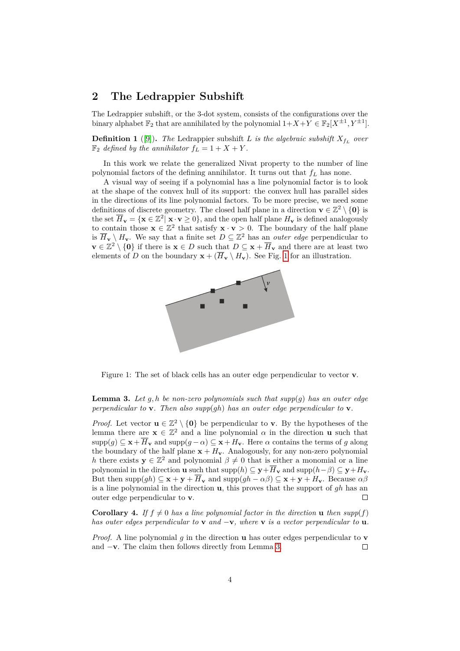# <span id="page-3-0"></span>**2 The Ledrappier Subshift**

The Ledrappier subshift, or the 3-dot system, consists of the configurations over the binary alphabet  $\mathbb{F}_2$  that are annihilated by the polynomial  $1+X+Y \in \mathbb{F}_2[X^{\pm 1}, Y^{\pm 1}]$ .

**Definition 1** ([\[9\]](#page-10-6)). The Ledrappier subshift *L is the algebraic subshift*  $X_{f_L}$  *over*  $\mathbb{F}_2$  *defined by the annihilator*  $f_L = 1 + X + Y$ .

In this work we relate the generalized Nivat property to the number of line polynomial factors of the defining annihilator. It turns out that *f<sup>L</sup>* has none.

A visual way of seeing if a polynomial has a line polynomial factor is to look at the shape of the convex hull of its support: the convex hull has parallel sides in the directions of its line polynomial factors. To be more precise, we need some definitions of discrete geometry. The closed half plane in a direction  $\mathbf{v} \in \mathbb{Z}^2 \setminus \{\mathbf{0}\}\$ is the set  $\overline{H}_{\mathbf{v}} = {\mathbf{x} \in \mathbb{Z}^2 | \mathbf{x} \cdot \mathbf{v} \ge 0}$ , and the open half plane  $H_{\mathbf{v}}$  is defined analogously to contain those  $\mathbf{x} \in \mathbb{Z}^2$  that satisfy  $\mathbf{x} \cdot \mathbf{v} > 0$ . The boundary of the half plane is  $\overline{H}_{\mathbf{v}} \setminus H_{\mathbf{v}}$ . We say that a finite set  $D \subseteq \mathbb{Z}^2$  has an *outer edge* perpendicular to **v** ∈  $\mathbb{Z}^2$  \ {0} if there is **x** ∈ *D* such that  $D \subseteq$  **x** +  $\overline{H}_\mathbf{v}$  and there are at least two elements of *D* on the boundary  $\mathbf{x} + (\overline{H}_{\mathbf{v}} \setminus H_{\mathbf{v}})$ . See Fig. [1](#page-3-1) for an illustration.



<span id="page-3-1"></span>Figure 1: The set of black cells has an outer edge perpendicular to vector **v**.

<span id="page-3-2"></span>**Lemma 3.** Let  $q, h$  be non-zero polynomials such that  $supp(q)$  has an outer edge *perpendicular to* **v***. Then also supp*(*gh*) *has an outer edge perpendicular to* **v***.*

*Proof.* Let vector  $\mathbf{u} \in \mathbb{Z}^2 \setminus \{0\}$  be perpendicular to **v**. By the hypotheses of the lemma there are  $\mathbf{x} \in \mathbb{Z}^2$  and a line polynomial  $\alpha$  in the direction **u** such that  $\supp(g) \subseteq \mathbf{x} + \overline{H}_{\mathbf{v}}$  and  $\supp(g - \alpha) \subseteq \mathbf{x} + H_{\mathbf{v}}$ . Here  $\alpha$  contains the terms of *g* along the boundary of the half plane  $\mathbf{x} + H_{\mathbf{v}}$ . Analogously, for any non-zero polynomial *h* there exists  $y \in \mathbb{Z}^2$  and polynomial  $\beta \neq 0$  that is either a monomial or a line polynomial in the direction **u** such that  $\text{supp}(h) \subseteq \mathbf{y} + \overline{H}_{\mathbf{y}}$  and  $\text{supp}(h-\beta) \subseteq \mathbf{y} + H_{\mathbf{y}}$ . But then  $\text{supp}(gh) \subseteq \mathbf{x} + \mathbf{y} + \overline{H}_{\mathbf{y}}$  and  $\text{supp}(gh - \alpha\beta) \subseteq \mathbf{x} + \mathbf{y} + H_{\mathbf{y}}$ . Because  $\alpha\beta$ is a line polynomial in the direction **u**, this proves that the support of *gh* has an outer edge perpendicular to **v**.  $\Box$ 

**Corollary 4.** If  $f \neq 0$  has a line polynomial factor in the direction **u** then  $supp(f)$ *has outer edges perpendicular to* **v** *and* −**v***, where* **v** *is a vector perpendicular to* **u***.*

*Proof.* A line polynomial *g* in the direction **u** has outer edges perpendicular to **v** and −**v**. The claim then follows directly from Lemma [3.](#page-3-2)  $\Box$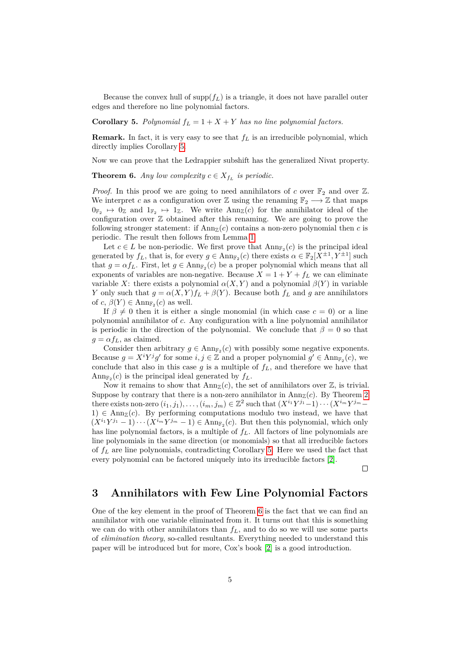Because the convex hull of  $\text{supp}(f_L)$  is a triangle, it does not have parallel outer edges and therefore no line polynomial factors.

<span id="page-4-1"></span>**Corollary 5.** *Polynomial*  $f_L = 1 + X + Y$  *has no line polynomial factors.* 

**Remark.** In fact, it is very easy to see that *f<sup>L</sup>* is an irreducible polynomial, which directly implies Corollary [5.](#page-4-1)

<span id="page-4-2"></span>Now we can prove that the Ledrappier subshift has the generalized Nivat property.

**Theorem 6.** *Any low complexity*  $c \in X_{f_L}$  *is periodic.* 

*Proof.* In this proof we are going to need annihilators of *c* over  $\mathbb{F}_2$  and over Z. We interpret *c* as a configuration over  $\mathbb{Z}$  using the renaming  $\mathbb{F}_2 \longrightarrow \mathbb{Z}$  that maps  $0_{\mathbb{F}_2} \mapsto 0_{\mathbb{Z}}$  and  $1_{\mathbb{F}_2} \mapsto 1_{\mathbb{Z}}$ . We write  $Ann_{\mathbb{Z}}(c)$  for the annihilator ideal of the configuration over  $\mathbb Z$  obtained after this renaming. We are going to prove the following stronger statement: if  $\text{Ann}_\mathbb{Z}(c)$  contains a non-zero polynomial then c is periodic. The result then follows from Lemma [1.](#page-2-0)

Let  $c \in L$  be non-periodic. We first prove that  $Ann_{\mathbb{F}_2}(c)$  is the principal ideal generated by  $f_L$ , that is, for every  $g \in \text{Ann}_{\mathbb{F}_2}(c)$  there exists  $\alpha \in \mathbb{F}_2[X^{\pm 1}, Y^{\pm 1}]$  such that  $g = \alpha f_L$ . First, let  $g \in Ann_{\mathbb{F}_2}(c)$  be a proper polynomial which means that all exponents of variables are non-negative. Because  $X = 1 + Y + f_L$  we can eliminate variable *X*: there exists a polynomial  $\alpha(X, Y)$  and a polynomial  $\beta(Y)$  in variable *Y* only such that  $g = \alpha(X, Y)f_L + \beta(Y)$ . Because both  $f_L$  and  $g$  are annihilators of  $c, \beta(Y) \in \text{Ann}_{\mathbb{F}_2}(c)$  as well.

If  $\beta \neq 0$  then it is either a single monomial (in which case  $c = 0$ ) or a line polynomial annihilator of *c*. Any configuration with a line polynomial annihilator is periodic in the direction of the polynomial. We conclude that  $\beta = 0$  so that  $g = \alpha f_L$ , as claimed.

Consider then arbitrary  $g \in \text{Ann}_{\mathbb{F}_2}(c)$  with possibly some negative exponents. Because  $g = X^i Y^j g'$  for some  $i, j \in \mathbb{Z}$  and a proper polynomial  $g' \in \text{Ann}_{\mathbb{F}_2}(c)$ , we conclude that also in this case  $g$  is a multiple of  $f<sub>L</sub>$ , and therefore we have that  $\text{Ann}_{\mathbb{F}_2}(c)$  is the principal ideal generated by  $f_L$ .

Now it remains to show that  $\text{Ann}_{\mathbb{Z}}(c)$ , the set of annihilators over  $\mathbb{Z}$ , is trivial. Suppose by contrary that there is a non-zero annihilator in  $\text{Ann}_{\mathbb{Z}}(c)$ . By Theorem [2](#page-2-1) there exists non-zero  $(i_1, j_1), \ldots, (i_m, j_m) \in \mathbb{Z}^2$  such that  $(X^{i_1}Y^{j_1}-1)\cdots(X^{i_m}Y^{j_m}-1)$  $1) \in Ann_{\mathbb{Z}}(c)$ . By performing computations modulo two instead, we have that  $(X^{i_1}Y^{j_1}-1)\cdots(X^{i_m}Y^{j_m}-1) \in \text{Ann}_{\mathbb{F}_2}(c)$ . But then this polynomial, which only has line polynomial factors, is a multiple of *fL*. All factors of line polynomials are line polynomials in the same direction (or monomials) so that all irreducible factors of *f<sup>L</sup>* are line polynomials, contradicting Corollary [5.](#page-4-1) Here we used the fact that every polynomial can be factored uniquely into its irreducible factors [\[2\]](#page-10-9).

 $\Box$ 

## <span id="page-4-0"></span>**3 Annihilators with Few Line Polynomial Factors**

One of the key element in the proof of Theorem [6](#page-4-2) is the fact that we can find an annihilator with one variable eliminated from it. It turns out that this is something we can do with other annihilators than *fL*, and to do so we will use some parts of *elimination theory*, so-called resultants. Everything needed to understand this paper will be introduced but for more, Cox's book [\[2\]](#page-10-9) is a good introduction.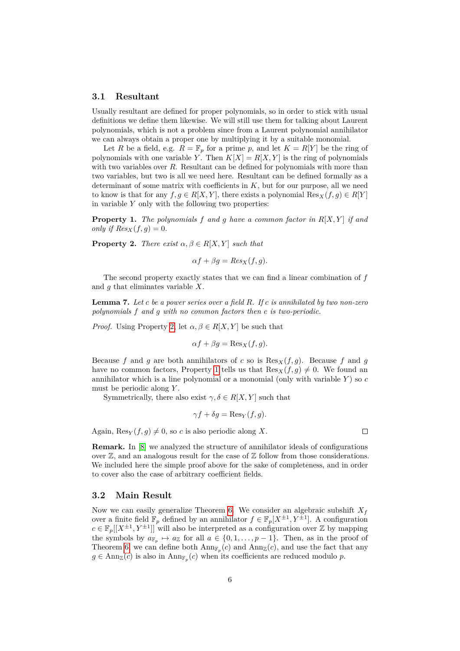### **3.1 Resultant**

Usually resultant are defined for proper polynomials, so in order to stick with usual definitions we define them likewise. We will still use them for talking about Laurent polynomials, which is not a problem since from a Laurent polynomial annihilator we can always obtain a proper one by multiplying it by a suitable monomial.

Let *R* be a field, e.g.  $R = \mathbb{F}_p$  for a prime *p*, and let  $K = R[Y]$  be the ring of polynomials with one variable *Y*. Then  $K[X] = R[X, Y]$  is the ring of polynomials with two variables over *R*. Resultant can be defined for polynomials with more than two variables, but two is all we need here. Resultant can be defined formally as a determinant of some matrix with coefficients in  $K$ , but for our purpose, all we need to know is that for any  $f, g \in R[X, Y]$ , there exists a polynomial  $\text{Res}_X(f, g) \in R[Y]$ in variable *Y* only with the following two properties:

<span id="page-5-1"></span>**Property 1.** *The polynomials f and g have a common factor in R*[*X, Y* ] *if and only if*  $Res_X(f,g) = 0$ *.* 

<span id="page-5-0"></span>**Property 2.** *There exist*  $\alpha, \beta \in R[X, Y]$  *such that* 

$$
\alpha f + \beta g = Res_X(f, g).
$$

The second property exactly states that we can find a linear combination of *f* and *g* that eliminates variable *X*.

<span id="page-5-2"></span>**Lemma 7.** *Let c be a power series over a field R. If c is annihilated by two non-zero polynomials f and g with no common factors then c is two-periodic.*

*Proof.* Using Property [2,](#page-5-0) let  $\alpha, \beta \in R[X, Y]$  be such that

$$
\alpha f + \beta g = \text{Res}_X(f, g).
$$

Because *f* and *g* are both annihilators of *c* so is  $\text{Res}_X(f,g)$ . Because *f* and *g* have no common factors, Property [1](#page-5-1) tells us that  $\text{Res}_X(f, q) \neq 0$ . We found an annihilator which is a line polynomial or a monomial (only with variable *Y* ) so *c* must be periodic along *Y* .

Symmetrically, there also exist  $\gamma, \delta \in R[X, Y]$  such that

$$
\gamma f + \delta g = \text{Res}_Y(f, g).
$$

 $\Box$ 

Again,  $\text{Res}_Y(f, q) \neq 0$ , so *c* is also periodic along X.

**Remark.** In [\[8\]](#page-10-10) we analyzed the structure of annihilator ideals of configurations over  $\mathbb Z$ , and an analogous result for the case of  $\mathbb Z$  follow from those considerations. We included here the simple proof above for the sake of completeness, and in order to cover also the case of arbitrary coefficient fields.

#### **3.2 Main Result**

<span id="page-5-3"></span>Now we can easily generalize Theorem [6.](#page-4-2) We consider an algebraic subshift  $X_f$ over a finite field  $\mathbb{F}_p$  defined by an annihilator  $f \in \mathbb{F}_p[X^{\pm 1}, Y^{\pm 1}]$ . A configuration  $c \in \mathbb{F}_p[[X^{\pm 1}, Y^{\pm 1}]]$  will also be interpreted as a configuration over  $\mathbb{Z}$  by mapping the symbols by  $a_{\mathbb{F}_p} \mapsto a_{\mathbb{Z}}$  for all  $a \in \{0, 1, \ldots, p-1\}$ . Then, as in the proof of Theorem [6,](#page-4-2) we can define both  $\text{Ann}_{\mathbb{F}_p}(c)$  and  $\text{Ann}_{\mathbb{Z}}(c)$ , and use the fact that any  $g \in \text{Ann}_{\mathbb{Z}}(c)$  is also in  $\text{Ann}_{\mathbb{F}_p}(c)$  when its coefficients are reduced modulo *p*.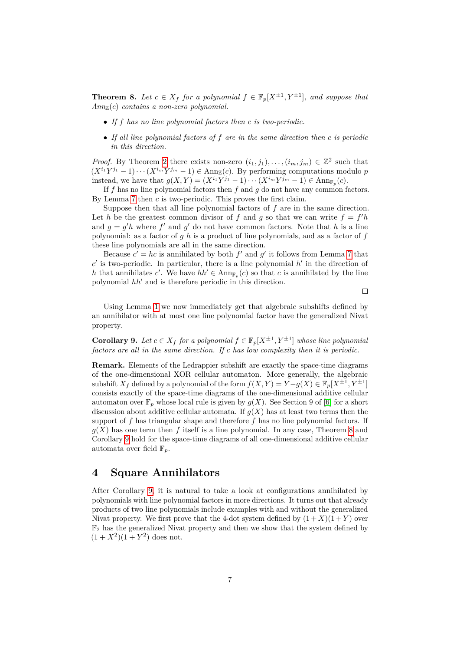**Theorem 8.** Let  $c \in X_f$  for a polynomial  $f \in \mathbb{F}_p[X^{\pm 1}, Y^{\pm 1}]$ , and suppose that  $Ann_{\mathbb{Z}}(c)$  *contains a non-zero polynomial.* 

- *If f has no line polynomial factors then c is two-periodic.*
- *If all line polynomial factors of f are in the same direction then c is periodic in this direction.*

*Proof.* By Theorem [2](#page-2-1) there exists non-zero  $(i_1, j_1), \ldots, (i_m, j_m) \in \mathbb{Z}^2$  such that  $(X^{i_1}Y^{j_1}-1)\cdots(X^{i_m}Y^{j_m}-1) \in \text{Ann}_{\mathbb{Z}}(c)$ . By performing computations modulo *p* instead, we have that  $g(X, Y) = (X^{i_1}Y^{j_1} - 1) \cdots (X^{i_m}Y^{j_m} - 1) \in \text{Ann}_{\mathbb{F}_p}(c)$ .

If *f* has no line polynomial factors then *f* and *g* do not have any common factors. By Lemma [7](#page-5-2) then *c* is two-periodic. This proves the first claim.

Suppose then that all line polynomial factors of *f* are in the same direction. Let *h* be the greatest common divisor of *f* and *g* so that we can write  $f = f'h$ and  $g = g'h$  where  $f'$  and  $g'$  do not have common factors. Note that h is a line polynomial: as a factor of *g h* is a product of line polynomials, and as a factor of *f* these line polynomials are all in the same direction.

Because  $c' = hc$  is annihilated by both  $f'$  and  $g'$  it follows from Lemma [7](#page-5-2) that  $c'$  is two-periodic. In particular, there is a line polynomial  $h'$  in the direction of *h* that annihilates *c*'. We have  $hh' \in Ann_{\mathbb{F}_p}(c)$  so that *c* is annihilated by the line polynomial  $hh'$  and is therefore periodic in this direction.

 $\Box$ 

Using Lemma [1](#page-2-0) we now immediately get that algebraic subshifts defined by an annihilator with at most one line polynomial factor have the generalized Nivat property.

<span id="page-6-1"></span>**Corollary 9.** *Let*  $c \in X_f$  *for a polynomial*  $f \in \mathbb{F}_p[X^{\pm 1}, Y^{\pm 1}]$  *whose line polynomial factors are all in the same direction. If c has low complexity then it is periodic.*

**Remark.** Elements of the Ledrappier subshift are exactly the space-time diagrams of the one-dimensional XOR cellular automaton. More generally, the algebraic  $\text{subshift } X_f \text{ defined by a polynomial of the form } f(X, Y) = Y - g(X) \in \mathbb{F}_p[X^{\pm 1}, Y^{\pm 1}]$ consists exactly of the space-time diagrams of the one-dimensional additive cellular automaton over  $\mathbb{F}_p$  whose local rule is given by  $q(X)$ . See Section 9 of [\[6\]](#page-10-11) for a short discussion about additive cellular automata. If  $q(X)$  has at least two terms then the support of *f* has triangular shape and therefore *f* has no line polynomial factors. If  $g(X)$  has one term then f itself is a line polynomial. In any case, Theorem [8](#page-5-3) and Corollary [9](#page-6-1) hold for the space-time diagrams of all one-dimensional additive cellular automata over field  $\mathbb{F}_p$ .

## <span id="page-6-0"></span>**4 Square Annihilators**

After Corollary [9,](#page-6-1) it is natural to take a look at configurations annihilated by polynomials with line polynomial factors in more directions. It turns out that already products of two line polynomials include examples with and without the generalized Nivat property. We first prove that the 4-dot system defined by  $(1 + X)(1 + Y)$  over  $\mathbb{F}_2$  has the generalized Nivat property and then we show that the system defined by  $(1+X^2)(1+Y^2)$  does not.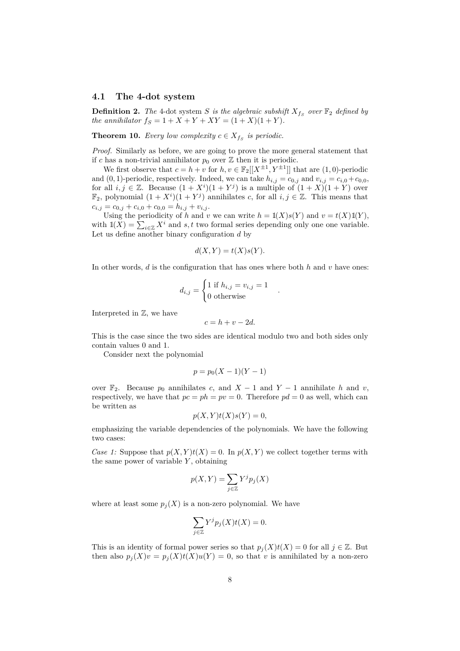#### **4.1 The 4-dot system**

**Definition 2.** The 4-dot system *S* is the algebraic subshift  $X_{fs}$  over  $\mathbb{F}_2$  defined by *the annihilator*  $f_S = 1 + X + Y + XY = (1 + X)(1 + Y)$ *.* 

**Theorem 10.** *Every low complexity*  $c \in X_{f_S}$  *is periodic.* 

*Proof.* Similarly as before, we are going to prove the more general statement that if *c* has a non-trivial annihilator  $p_0$  over  $\mathbb{Z}$  then it is periodic.

We first observe that  $c = h + v$  for  $h, v \in \mathbb{F}_2[[X^{\pm 1}, Y^{\pm 1}]]$  that are  $(1, 0)$ -periodic and  $(0, 1)$ -periodic, respectively. Indeed, we can take  $h_{i,j} = c_{0,j}$  and  $v_{i,j} = c_{i,0} + c_{0,0}$ , for all  $i, j \in \mathbb{Z}$ . Because  $(1 + X^i)(1 + Y^j)$  is a multiple of  $(1 + X)(1 + Y)$  over  $\mathbb{F}_2$ , polynomial  $(1 + X^i)(1 + Y^j)$  annihilates *c*, for all  $i, j \in \mathbb{Z}$ . This means that  $c_{i,j} = c_{0,j} + c_{i,0} + c_{0,0} = h_{i,j} + v_{i,j}.$ 

Using the periodicity of *h* and *v* we can write  $h = \mathbb{I}(X)s(Y)$  and  $v = t(X)\mathbb{I}(Y)$ , with  $\mathbb{I}(X) = \sum_{i \in \mathbb{Z}} X^i$  and *s*, *t* two formal series depending only one one variable. Let us define another binary configuration *d* by

$$
d(X, Y) = t(X)s(Y).
$$

In other words, *d* is the configuration that has ones where both *h* and *v* have ones:

*.*

$$
d_{i,j} = \begin{cases} 1 \text{ if } h_{i,j} = v_{i,j} = 1\\ 0 \text{ otherwise} \end{cases}
$$

Interpreted in Z, we have

$$
c = h + v - 2d.
$$

This is the case since the two sides are identical modulo two and both sides only contain values 0 and 1.

Consider next the polynomial

$$
p = p_0(X - 1)(Y - 1)
$$

over  $\mathbb{F}_2$ . Because  $p_0$  annihilates *c*, and  $X-1$  and  $Y-1$  annihilate *h* and *v*, respectively, we have that  $pc = ph = pv = 0$ . Therefore  $pd = 0$  as well, which can be written as

$$
p(X,Y)t(X)s(Y) = 0,
$$

emphasizing the variable dependencies of the polynomials. We have the following two cases:

*Case 1:* Suppose that  $p(X, Y)t(X) = 0$ . In  $p(X, Y)$  we collect together terms with the same power of variable *Y* , obtaining

$$
p(X,Y) = \sum_{j \in \mathbb{Z}} Y^j p_j(X)
$$

where at least some  $p_i(X)$  is a non-zero polynomial. We have

$$
\sum_{j\in\mathbb{Z}} Y^j p_j(X)t(X) = 0.
$$

This is an identity of formal power series so that  $p_j(X)t(X) = 0$  for all  $j \in \mathbb{Z}$ . But then also  $p_i(X)v = p_i(X)t(X)u(Y) = 0$ , so that *v* is annihilated by a non-zero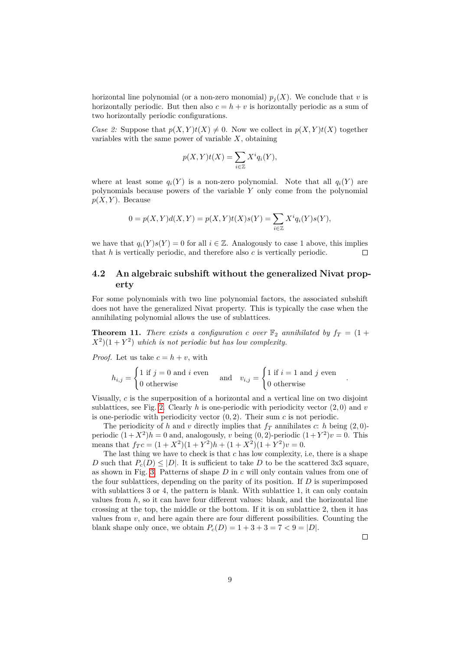horizontal line polynomial (or a non-zero monomial)  $p_i(X)$ . We conclude that *v* is horizontally periodic. But then also  $c = h + v$  is horizontally periodic as a sum of two horizontally periodic configurations.

*Case 2:* Suppose that  $p(X, Y)t(X) \neq 0$ . Now we collect in  $p(X, Y)t(X)$  together variables with the same power of variable *X*, obtaining

$$
p(X,Y)t(X) = \sum_{i \in \mathbb{Z}} X^i q_i(Y),
$$

where at least some  $q_i(Y)$  is a non-zero polynomial. Note that all  $q_i(Y)$  are polynomials because powers of the variable *Y* only come from the polynomial  $p(X, Y)$ . Because

$$
0 = p(X, Y)d(X, Y) = p(X, Y)t(X)s(Y) = \sum_{i \in \mathbb{Z}} X^{i} q_{i}(Y)s(Y),
$$

we have that  $q_i(Y)s(Y) = 0$  for all  $i \in \mathbb{Z}$ . Analogously to case 1 above, this implies that *h* is vertically periodic, and therefore also *c* is vertically periodic.  $\Box$ 

### **4.2 An algebraic subshift without the generalized Nivat property**

For some polynomials with two line polynomial factors, the associated subshift does not have the generalized Nivat property. This is typically the case when the annihilating polynomial allows the use of sublattices.

**Theorem 11.** *There exists a configuration c over*  $\mathbb{F}_2$  *annihilated by*  $f_T = (1 +$  $(X^2)(1+Y^2)$  *which is not periodic but has low complexity.* 

*Proof.* Let us take  $c = h + v$ , with

$$
h_{i,j} = \begin{cases} 1 \text{ if } j = 0 \text{ and } i \text{ even} \\ 0 \text{ otherwise} \end{cases} \text{ and } v_{i,j} = \begin{cases} 1 \text{ if } i = 1 \text{ and } j \text{ even} \\ 0 \text{ otherwise} \end{cases}
$$

Visually, *c* is the superposition of a horizontal and a vertical line on two disjoint sublattices, see Fig. [2.](#page-9-0) Clearly  $h$  is one-periodic with periodicity vector  $(2,0)$  and  $v$ is one-periodic with periodicity vector  $(0, 2)$ . Their sum *c* is not periodic.

The periodicity of *h* and *v* directly implies that  $f_T$  annihilates *c*: *h* being (2,0)periodic  $(1 + X^2)h = 0$  and, analogously, *v* being  $(0, 2)$ -periodic  $(1 + Y^2)v = 0$ . This means that  $f_T c = (1 + X^2)(1 + Y^2)h + (1 + X^2)(1 + Y^2)v = 0.$ 

The last thing we have to check is that *c* has low complexity, i.e, there is a shape *D* such that  $P_c(D) \leq |D|$ . It is sufficient to take *D* to be the scattered 3x3 square, as shown in Fig. [3.](#page-9-1) Patterns of shape *D* in *c* will only contain values from one of the four sublattices, depending on the parity of its position. If *D* is superimposed with sublattices 3 or 4, the pattern is blank. With sublattice 1, it can only contain values from  $h$ , so it can have four different values: blank, and the horizontal line crossing at the top, the middle or the bottom. If it is on sublattice 2, then it has values from  $v$ , and here again there are four different possibilities. Counting the blank shape only once, we obtain  $P_c(D) = 1 + 3 + 3 = 7 < 9 = |D|$ .

 $\Box$ 

*.*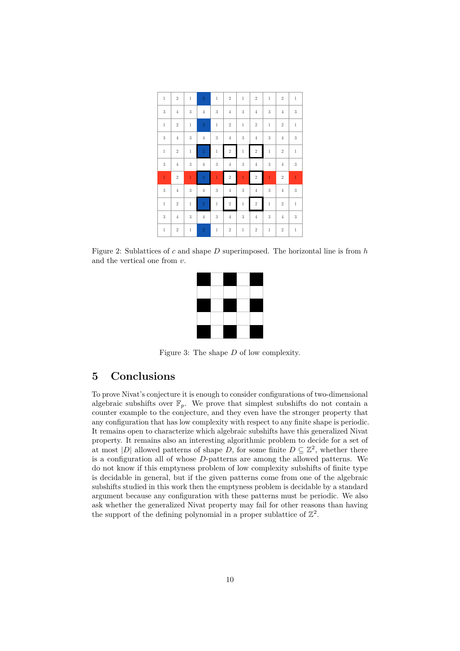| $\mathbf{1}$ | $\,2$          | $\mathbf{1}$   | $\overline{2}$ | $\mathbf{1}$ | $\sqrt{2}$     | $\mathbf 1$    | $\sqrt{2}$     | $\mathbf{1}$ | $\,2$          | $\mathbf{1}$ |
|--------------|----------------|----------------|----------------|--------------|----------------|----------------|----------------|--------------|----------------|--------------|
| $\sqrt{3}$   | $\overline{4}$ | 3              | $\overline{4}$ | $\sqrt{3}$   | $\overline{4}$ | 3              | $\overline{4}$ | $\sqrt{3}$   | $\overline{4}$ | $\sqrt{3}$   |
| $\mathbf{1}$ | $\,2$          | $\mathbf 1$    | $\,2$          | $\mathbf{1}$ | $\sqrt{2}$     | $\mathbf{1}$   | $\overline{2}$ | $\mathbf{1}$ | $\,2$          | $\mathbf 1$  |
| $\sqrt{3}$   | $\overline{4}$ | 3              | $\overline{4}$ | $\sqrt{3}$   | $\overline{4}$ | 3              | $\overline{4}$ | $\sqrt{3}$   | $\overline{4}$ | $\sqrt{3}$   |
| $\,1\,$      | $\,2$          | $\mathbf{1}$   | $\sqrt{2}$     | $\mathbf{1}$ | $\,2$          | $\mathbf{1}$   | $\overline{2}$ | $\,1\,$      | $\sqrt{2}$     | $\mathbf 1$  |
| $\sqrt{3}$   | $\overline{4}$ | 3              | $\overline{4}$ | $\sqrt{3}$   | $\overline{4}$ | 3              | $\overline{4}$ | 3            | $\overline{4}$ | $\sqrt{3}$   |
| $\mathbf{1}$ | $\,2$          | $\mathbf{1}$   | $\sqrt{2}$     | $\mathbf{1}$ | $\,2$          | $\overline{1}$ | $\,2$          | $\mathbf{1}$ | $\sqrt{2}$     | $\mathbf 1$  |
| $\sqrt{3}$   | $\overline{4}$ | 3              | $\overline{4}$ | $\sqrt{3}$   | $\overline{4}$ | 3              | $\overline{4}$ | $\sqrt{3}$   | $\overline{4}$ | $\sqrt{3}$   |
| $\mathbf{1}$ | $\,2$          | $\overline{1}$ | $\sqrt{2}$     | $\mathbf{1}$ | $\,2$          | $\mathbf{1}$   | $\sqrt{2}$     | $\mathbf{1}$ | $\sqrt{2}$     | $\mathbf 1$  |
| $\sqrt{3}$   | $\overline{4}$ | 3              | $\,4$          | $\sqrt{3}$   | $\,4$          | $\sqrt{3}$     | $\,4\,$        | $\sqrt{3}$   | $\overline{4}$ | $\sqrt{3}$   |
| $\mathbf{1}$ | $\sqrt{2}$     | $\mathbf 1$    | $\,2$          | $\mathbf{1}$ | $\,2$          | $\mathbf 1$    | $\sqrt{2}$     | $\mathbf{1}$ | $\sqrt{2}$     | $\mathbf 1$  |

<span id="page-9-0"></span>Figure 2: Sublattices of *c* and shape *D* superimposed. The horizontal line is from *h* and the vertical one from *v*.



<span id="page-9-1"></span>Figure 3: The shape *D* of low complexity.

# **5 Conclusions**

To prove Nivat's conjecture it is enough to consider configurations of two-dimensional algebraic subshifts over  $\mathbb{F}_p$ . We prove that simplest subshifts do not contain a counter example to the conjecture, and they even have the stronger property that any configuration that has low complexity with respect to any finite shape is periodic. It remains open to characterize which algebraic subshifts have this generalized Nivat property. It remains also an interesting algorithmic problem to decide for a set of at most |*D*| allowed patterns of shape *D*, for some finite  $D \subseteq \mathbb{Z}^2$ , whether there is a configuration all of whose *D*-patterns are among the allowed patterns. We do not know if this emptyness problem of low complexity subshifts of finite type is decidable in general, but if the given patterns come from one of the algebraic subshifts studied in this work then the emptyness problem is decidable by a standard argument because any configuration with these patterns must be periodic. We also ask whether the generalized Nivat property may fail for other reasons than having the support of the defining polynomial in a proper sublattice of  $\mathbb{Z}^2$ .